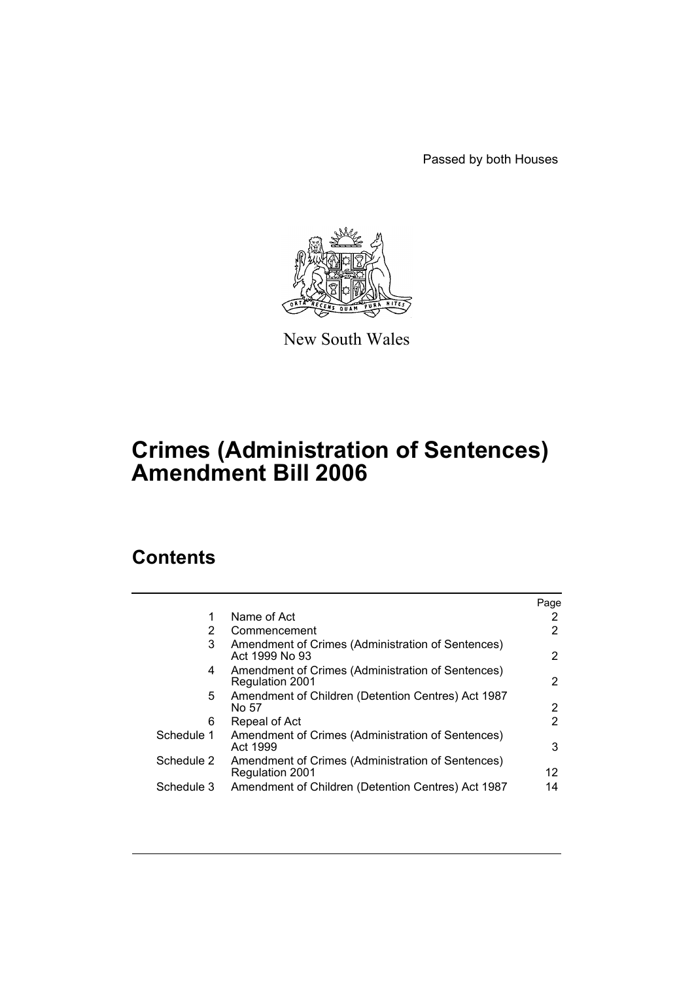Passed by both Houses



New South Wales

# **Crimes (Administration of Sentences) Amendment Bill 2006**

# **Contents**

|            |                                                                             | Page |
|------------|-----------------------------------------------------------------------------|------|
|            | Name of Act                                                                 | 2    |
| 2          | Commencement                                                                | 2    |
| 3          | Amendment of Crimes (Administration of Sentences)<br>Act 1999 No 93         | 2    |
| 4          | Amendment of Crimes (Administration of Sentences)<br><b>Regulation 2001</b> | 2    |
| 5.         | Amendment of Children (Detention Centres) Act 1987<br>No 57                 | 2    |
| 6          | Repeal of Act                                                               | 2    |
| Schedule 1 | Amendment of Crimes (Administration of Sentences)<br>Act 1999               | 3    |
| Schedule 2 | Amendment of Crimes (Administration of Sentences)<br><b>Regulation 2001</b> | 12   |
| Schedule 3 | Amendment of Children (Detention Centres) Act 1987                          | 14   |
|            |                                                                             |      |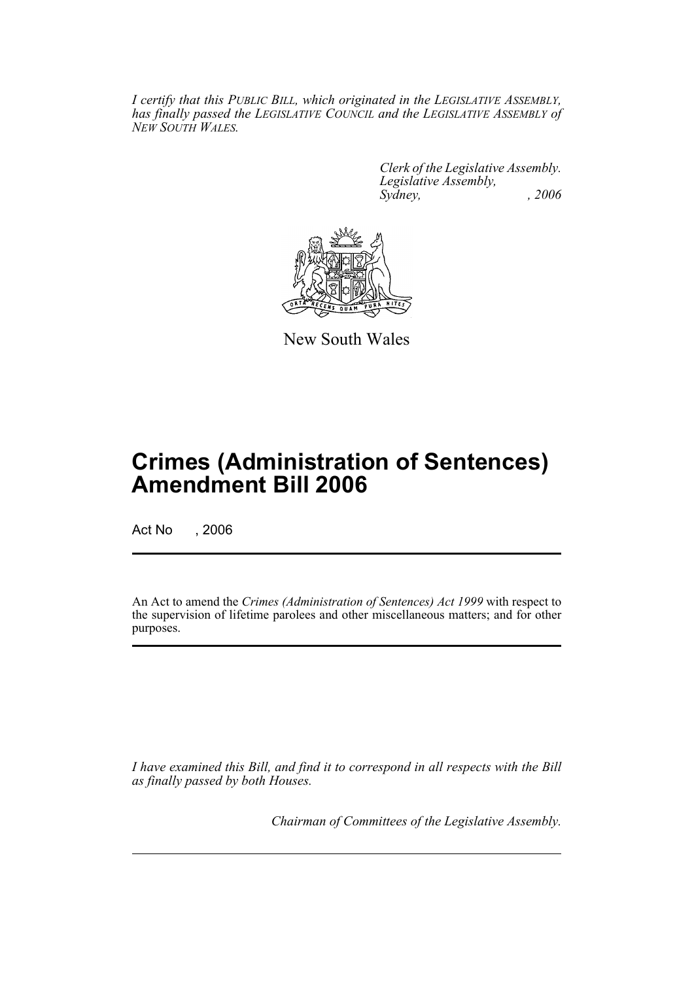*I certify that this PUBLIC BILL, which originated in the LEGISLATIVE ASSEMBLY, has finally passed the LEGISLATIVE COUNCIL and the LEGISLATIVE ASSEMBLY of NEW SOUTH WALES.*

> *Clerk of the Legislative Assembly. Legislative Assembly, Sydney, , 2006*



New South Wales

# **Crimes (Administration of Sentences) Amendment Bill 2006**

Act No , 2006

An Act to amend the *Crimes (Administration of Sentences) Act 1999* with respect to the supervision of lifetime parolees and other miscellaneous matters; and for other purposes.

*I have examined this Bill, and find it to correspond in all respects with the Bill as finally passed by both Houses.*

*Chairman of Committees of the Legislative Assembly.*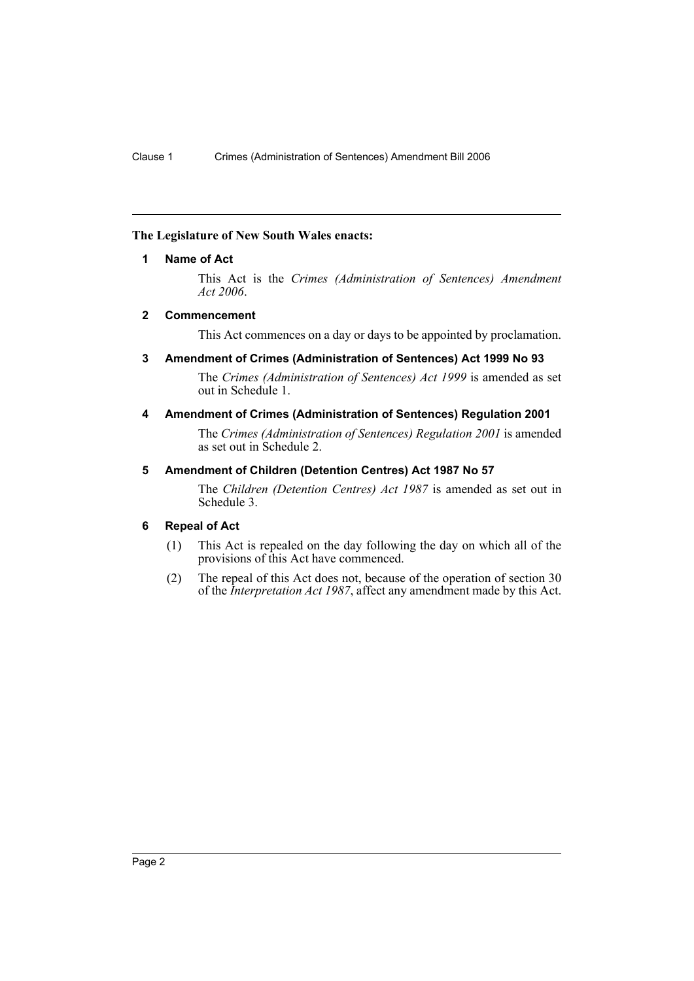# **The Legislature of New South Wales enacts:**

## **1 Name of Act**

This Act is the *Crimes (Administration of Sentences) Amendment Act 2006*.

## **2 Commencement**

This Act commences on a day or days to be appointed by proclamation.

# **3 Amendment of Crimes (Administration of Sentences) Act 1999 No 93**

The *Crimes (Administration of Sentences) Act 1999* is amended as set out in Schedule 1.

## **4 Amendment of Crimes (Administration of Sentences) Regulation 2001**

The *Crimes (Administration of Sentences) Regulation 2001* is amended as set out in Schedule 2.

## **5 Amendment of Children (Detention Centres) Act 1987 No 57**

The *Children (Detention Centres) Act 1987* is amended as set out in Schedule 3.

# **6 Repeal of Act**

- (1) This Act is repealed on the day following the day on which all of the provisions of this Act have commenced.
- (2) The repeal of this Act does not, because of the operation of section 30 of the *Interpretation Act 1987*, affect any amendment made by this Act.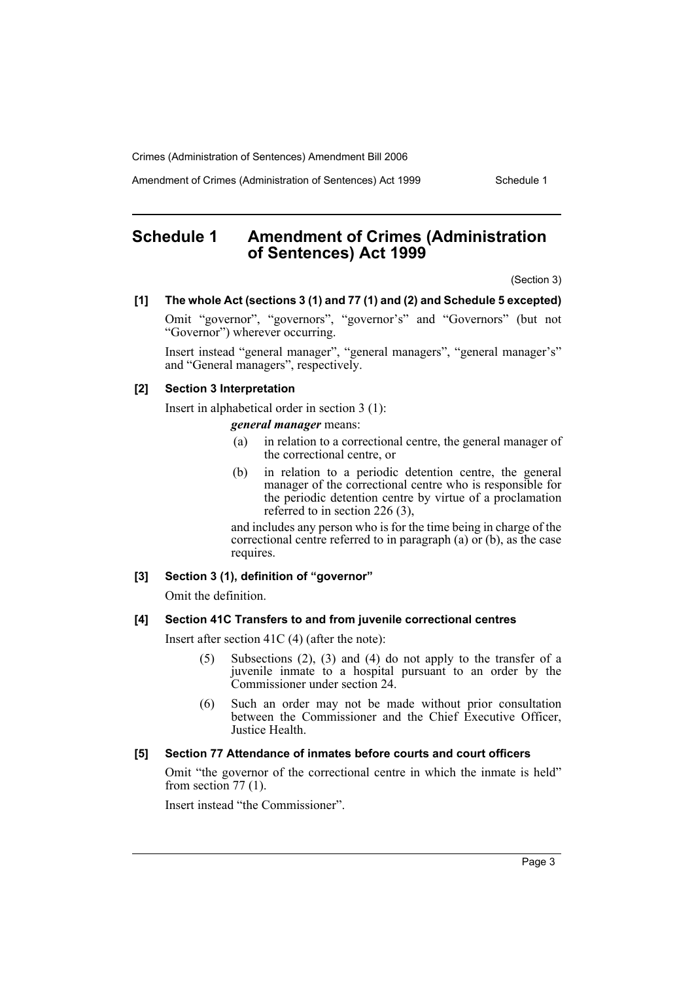Amendment of Crimes (Administration of Sentences) Act 1999 Schedule 1

# **Schedule 1 Amendment of Crimes (Administration of Sentences) Act 1999**

(Section 3)

#### **[1] The whole Act (sections 3 (1) and 77 (1) and (2) and Schedule 5 excepted)**

Omit "governor", "governors", "governor's" and "Governors" (but not "Governor") wherever occurring.

Insert instead "general manager", "general managers", "general manager's" and "General managers", respectively.

## **[2] Section 3 Interpretation**

Insert in alphabetical order in section 3 (1):

*general manager* means:

- (a) in relation to a correctional centre, the general manager of the correctional centre, or
- (b) in relation to a periodic detention centre, the general manager of the correctional centre who is responsible for the periodic detention centre by virtue of a proclamation referred to in section 226 (3),

and includes any person who is for the time being in charge of the correctional centre referred to in paragraph (a) or (b), as the case requires.

# **[3] Section 3 (1), definition of "governor"**

Omit the definition.

#### **[4] Section 41C Transfers to and from juvenile correctional centres**

Insert after section 41C (4) (after the note):

- (5) Subsections (2), (3) and (4) do not apply to the transfer of a juvenile inmate to a hospital pursuant to an order by the Commissioner under section 24.
- (6) Such an order may not be made without prior consultation between the Commissioner and the Chief Executive Officer, Justice Health.

# **[5] Section 77 Attendance of inmates before courts and court officers**

Omit "the governor of the correctional centre in which the inmate is held" from section  $77(1)$ .

Insert instead "the Commissioner".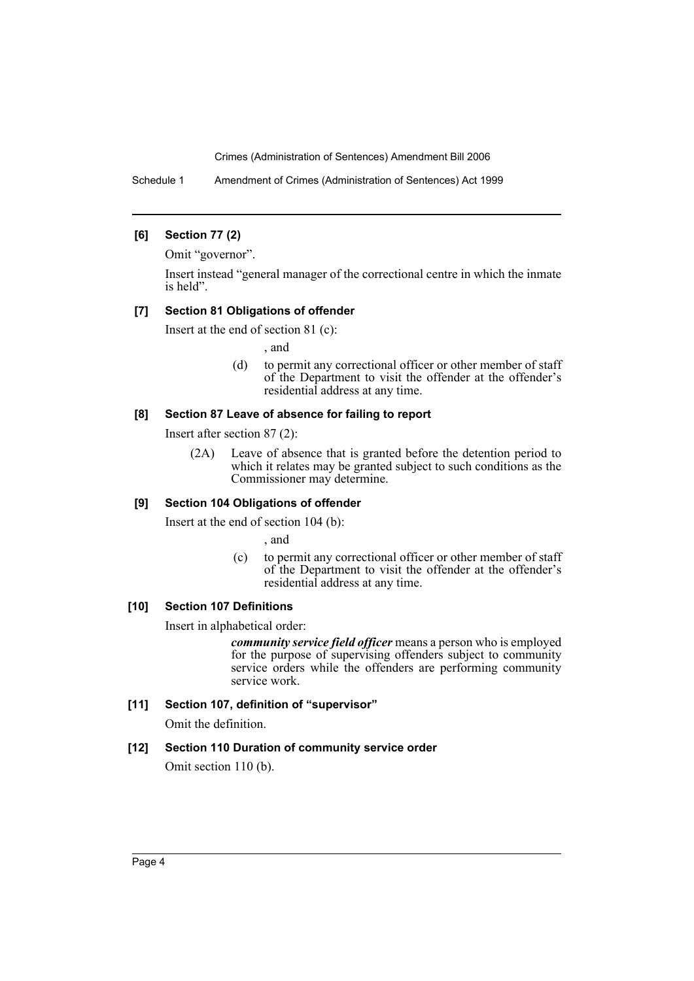Schedule 1 Amendment of Crimes (Administration of Sentences) Act 1999

## **[6] Section 77 (2)**

Omit "governor".

Insert instead "general manager of the correctional centre in which the inmate is held".

## **[7] Section 81 Obligations of offender**

Insert at the end of section 81 (c):

, and

(d) to permit any correctional officer or other member of staff of the Department to visit the offender at the offender's residential address at any time.

## **[8] Section 87 Leave of absence for failing to report**

Insert after section 87 (2):

(2A) Leave of absence that is granted before the detention period to which it relates may be granted subject to such conditions as the Commissioner may determine.

# **[9] Section 104 Obligations of offender**

Insert at the end of section 104 (b):

, and

(c) to permit any correctional officer or other member of staff of the Department to visit the offender at the offender's residential address at any time.

# **[10] Section 107 Definitions**

Insert in alphabetical order:

*community service field officer* means a person who is employed for the purpose of supervising offenders subject to community service orders while the offenders are performing community service work.

# **[11] Section 107, definition of "supervisor"**

Omit the definition.

# **[12] Section 110 Duration of community service order**

Omit section 110 (b).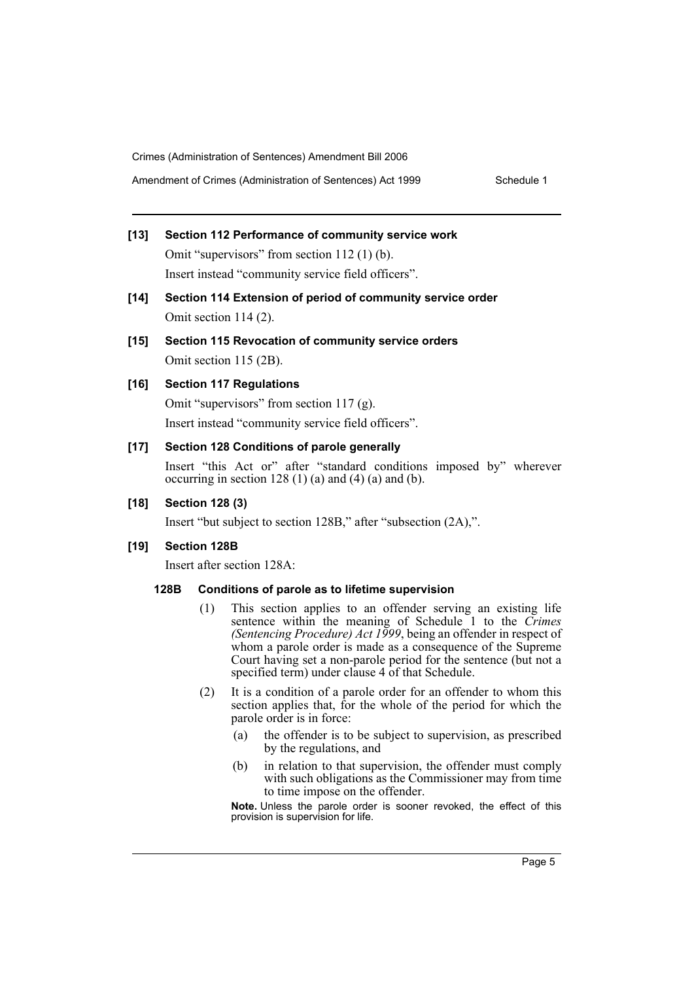# **[13] Section 112 Performance of community service work** Omit "supervisors" from section 112 (1) (b).

Insert instead "community service field officers".

**[14] Section 114 Extension of period of community service order** Omit section 114 (2).

# **[15] Section 115 Revocation of community service orders** Omit section 115 (2B).

# **[16] Section 117 Regulations**

Omit "supervisors" from section 117 (g).

Insert instead "community service field officers".

# **[17] Section 128 Conditions of parole generally**

Insert "this Act or" after "standard conditions imposed by" wherever occurring in section 128 (1) (a) and (4) (a) and (b).

# **[18] Section 128 (3)**

Insert "but subject to section 128B," after "subsection (2A),".

# **[19] Section 128B**

Insert after section 128A:

# **128B Conditions of parole as to lifetime supervision**

- (1) This section applies to an offender serving an existing life sentence within the meaning of Schedule 1 to the *Crimes (Sentencing Procedure) Act 1999*, being an offender in respect of whom a parole order is made as a consequence of the Supreme Court having set a non-parole period for the sentence (but not a specified term) under clause 4 of that Schedule.
- (2) It is a condition of a parole order for an offender to whom this section applies that, for the whole of the period for which the parole order is in force:
	- (a) the offender is to be subject to supervision, as prescribed by the regulations, and
	- (b) in relation to that supervision, the offender must comply with such obligations as the Commissioner may from time to time impose on the offender.

**Note.** Unless the parole order is sooner revoked, the effect of this provision is supervision for life.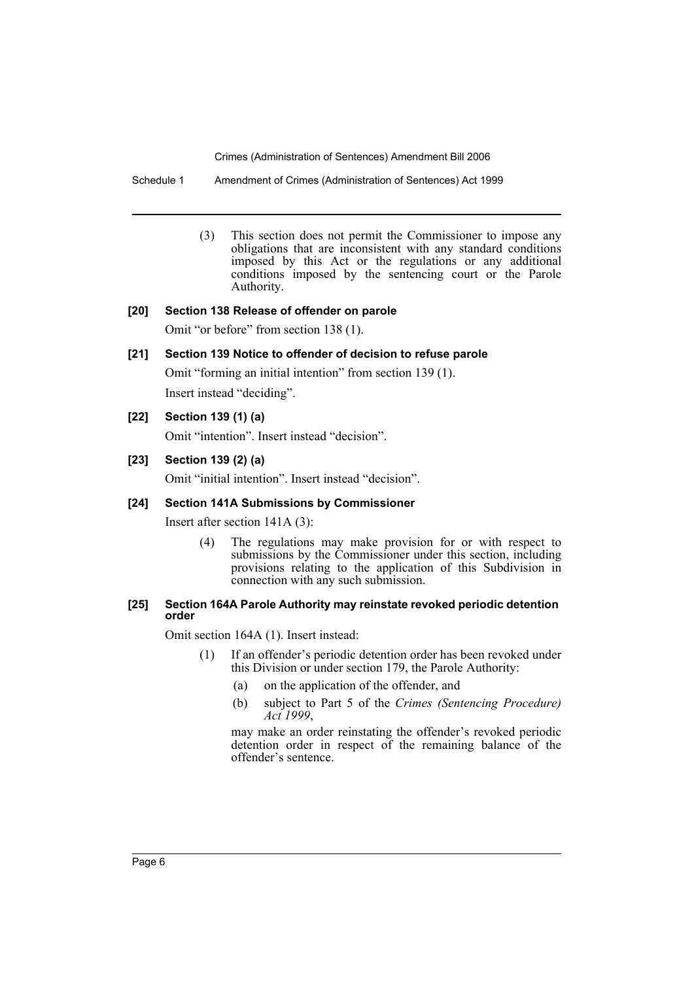Schedule 1 Amendment of Crimes (Administration of Sentences) Act 1999

(3) This section does not permit the Commissioner to impose any obligations that are inconsistent with any standard conditions imposed by this Act or the regulations or any additional conditions imposed by the sentencing court or the Parole Authority.

## **[20] Section 138 Release of offender on parole**

Omit "or before" from section 138 (1).

# **[21] Section 139 Notice to offender of decision to refuse parole**

Omit "forming an initial intention" from section 139 (1). Insert instead "deciding".

# **[22] Section 139 (1) (a)**

Omit "intention". Insert instead "decision".

## **[23] Section 139 (2) (a)**

Omit "initial intention". Insert instead "decision".

## **[24] Section 141A Submissions by Commissioner**

Insert after section 141A (3):

(4) The regulations may make provision for or with respect to submissions by the Commissioner under this section, including provisions relating to the application of this Subdivision in connection with any such submission.

#### **[25] Section 164A Parole Authority may reinstate revoked periodic detention order**

Omit section 164A (1). Insert instead:

- (1) If an offender's periodic detention order has been revoked under this Division or under section 179, the Parole Authority:
	- (a) on the application of the offender, and
	- (b) subject to Part 5 of the *Crimes (Sentencing Procedure) Act 1999*,

may make an order reinstating the offender's revoked periodic detention order in respect of the remaining balance of the offender's sentence.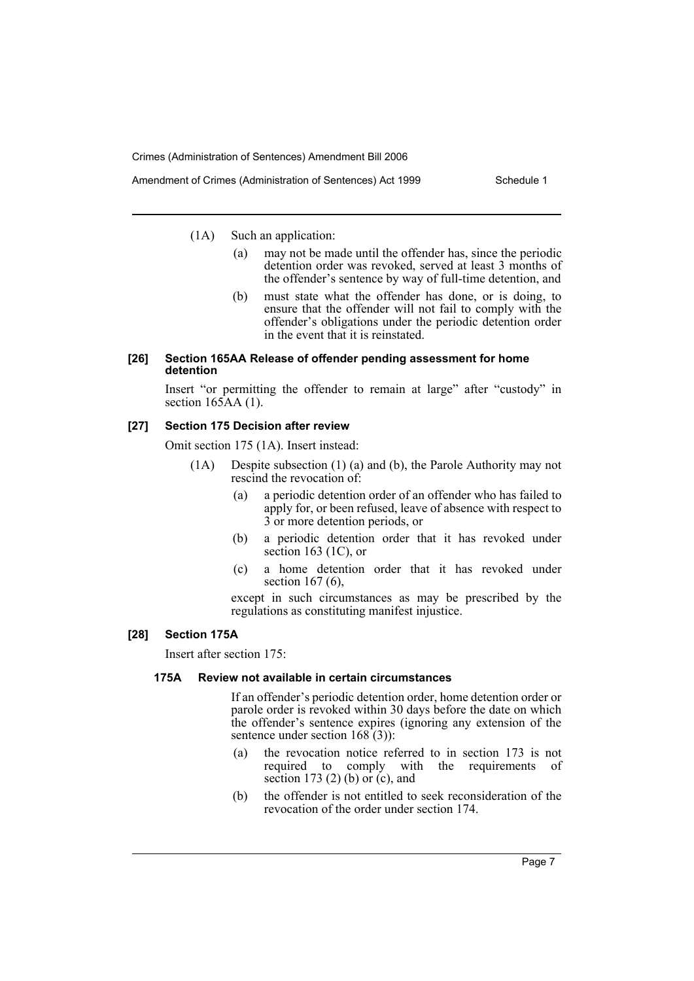Amendment of Crimes (Administration of Sentences) Act 1999 Schedule 1

(1A) Such an application:

- (a) may not be made until the offender has, since the periodic detention order was revoked, served at least 3 months of the offender's sentence by way of full-time detention, and
- (b) must state what the offender has done, or is doing, to ensure that the offender will not fail to comply with the offender's obligations under the periodic detention order in the event that it is reinstated.

#### **[26] Section 165AA Release of offender pending assessment for home detention**

Insert "or permitting the offender to remain at large" after "custody" in section  $165AA(1)$ .

## **[27] Section 175 Decision after review**

Omit section 175 (1A). Insert instead:

- (1A) Despite subsection (1) (a) and (b), the Parole Authority may not rescind the revocation of:
	- (a) a periodic detention order of an offender who has failed to apply for, or been refused, leave of absence with respect to 3 or more detention periods, or
	- (b) a periodic detention order that it has revoked under section 163  $(1C)$ , or
	- (c) a home detention order that it has revoked under section 167 (6).

except in such circumstances as may be prescribed by the regulations as constituting manifest injustice.

# **[28] Section 175A**

Insert after section 175:

#### **175A Review not available in certain circumstances**

If an offender's periodic detention order, home detention order or parole order is revoked within 30 days before the date on which the offender's sentence expires (ignoring any extension of the sentence under section  $168(3)$ :

- (a) the revocation notice referred to in section 173 is not required to comply with the requirements of section 173 $(2)$  (b) or  $(c)$ , and
- (b) the offender is not entitled to seek reconsideration of the revocation of the order under section 174.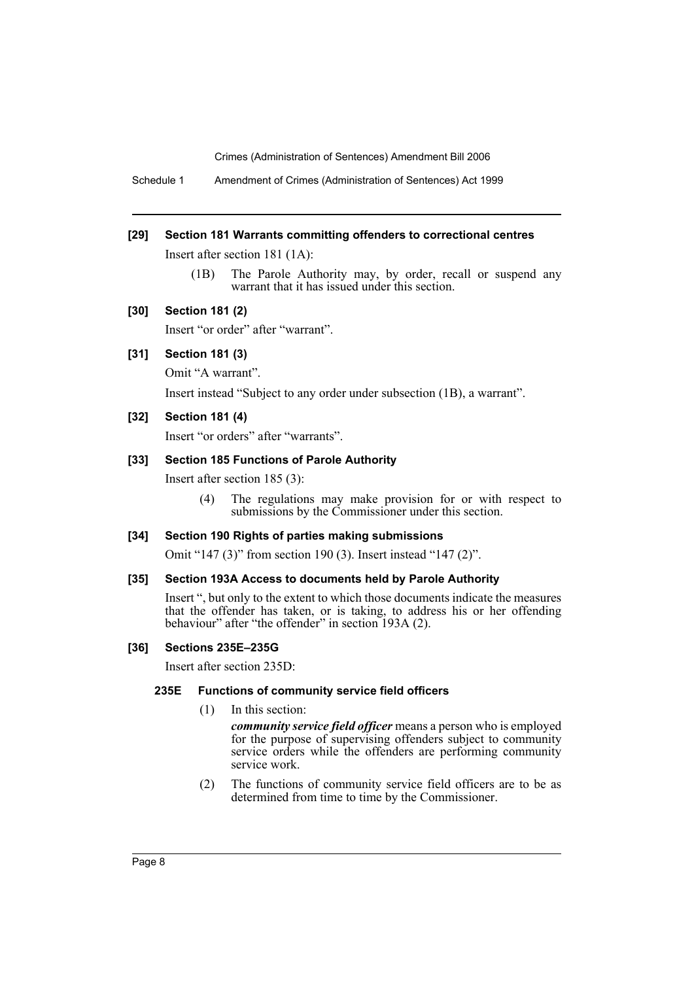Schedule 1 Amendment of Crimes (Administration of Sentences) Act 1999

#### **[29] Section 181 Warrants committing offenders to correctional centres**

Insert after section 181 (1A):

(1B) The Parole Authority may, by order, recall or suspend any warrant that it has issued under this section.

#### **[30] Section 181 (2)**

Insert "or order" after "warrant".

# **[31] Section 181 (3)**

Omit "A warrant".

Insert instead "Subject to any order under subsection (1B), a warrant".

## **[32] Section 181 (4)**

Insert "or orders" after "warrants".

#### **[33] Section 185 Functions of Parole Authority**

Insert after section 185 (3):

(4) The regulations may make provision for or with respect to submissions by the Commissioner under this section.

#### **[34] Section 190 Rights of parties making submissions**

Omit "147 (3)" from section 190 (3). Insert instead "147 (2)".

#### **[35] Section 193A Access to documents held by Parole Authority**

Insert ", but only to the extent to which those documents indicate the measures that the offender has taken, or is taking, to address his or her offending behaviour" after "the offender" in section 193A (2).

#### **[36] Sections 235E–235G**

Insert after section 235D:

## **235E Functions of community service field officers**

(1) In this section:

*community service field officer* means a person who is employed for the purpose of supervising offenders subject to community service orders while the offenders are performing community service work.

(2) The functions of community service field officers are to be as determined from time to time by the Commissioner.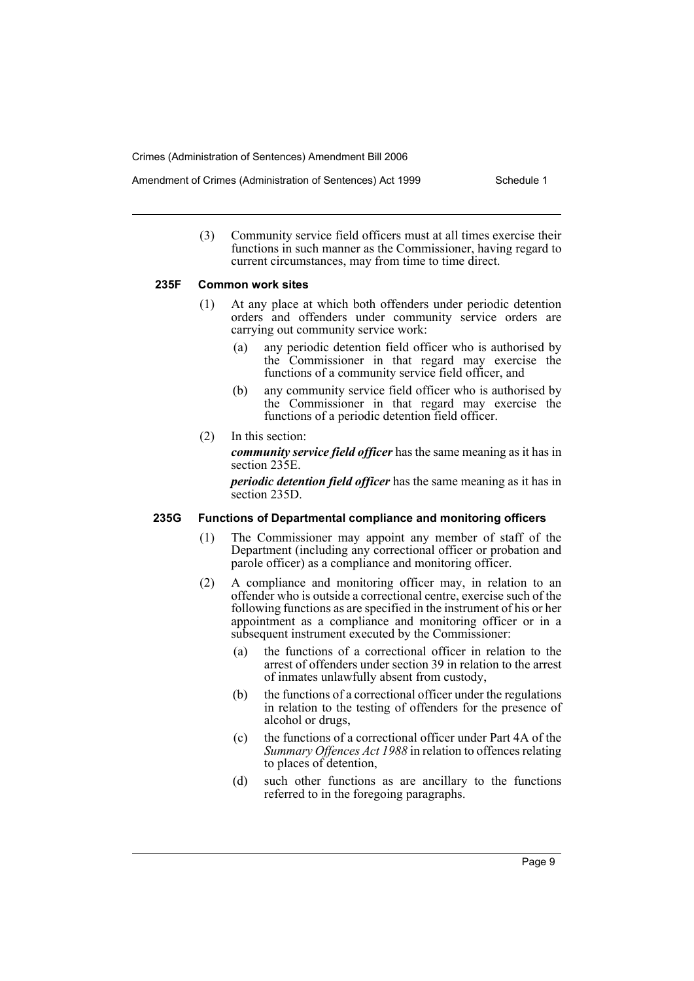- Amendment of Crimes (Administration of Sentences) Act 1999 Schedule 1
	- (3) Community service field officers must at all times exercise their functions in such manner as the Commissioner, having regard to current circumstances, may from time to time direct.

#### **235F Common work sites**

- (1) At any place at which both offenders under periodic detention orders and offenders under community service orders are carrying out community service work:
	- (a) any periodic detention field officer who is authorised by the Commissioner in that regard may exercise the functions of a community service field officer, and
	- (b) any community service field officer who is authorised by the Commissioner in that regard may exercise the functions of a periodic detention field officer.
- (2) In this section:

*community service field officer* has the same meaning as it has in section 235E.

*periodic detention field officer* has the same meaning as it has in section 235D.

#### **235G Functions of Departmental compliance and monitoring officers**

- (1) The Commissioner may appoint any member of staff of the Department (including any correctional officer or probation and parole officer) as a compliance and monitoring officer.
- (2) A compliance and monitoring officer may, in relation to an offender who is outside a correctional centre, exercise such of the following functions as are specified in the instrument of his or her appointment as a compliance and monitoring officer or in a subsequent instrument executed by the Commissioner:
	- (a) the functions of a correctional officer in relation to the arrest of offenders under section 39 in relation to the arrest of inmates unlawfully absent from custody,
	- (b) the functions of a correctional officer under the regulations in relation to the testing of offenders for the presence of alcohol or drugs,
	- (c) the functions of a correctional officer under Part 4A of the *Summary Offences Act 1988* in relation to offences relating to places of detention,
	- (d) such other functions as are ancillary to the functions referred to in the foregoing paragraphs.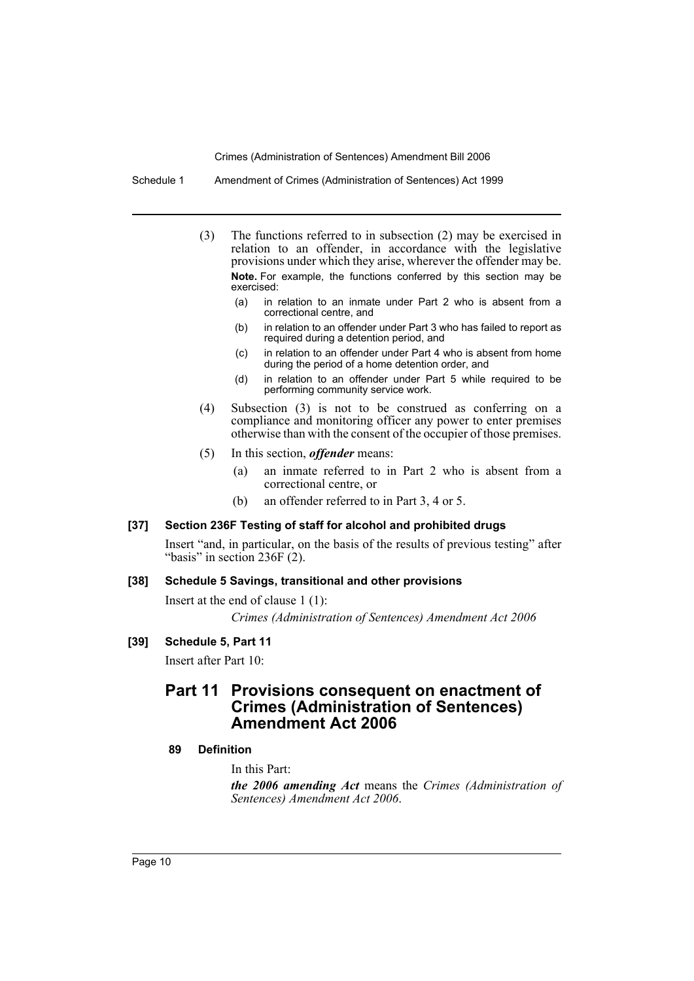Schedule 1 Amendment of Crimes (Administration of Sentences) Act 1999

- (3) The functions referred to in subsection (2) may be exercised in relation to an offender, in accordance with the legislative provisions under which they arise, wherever the offender may be. **Note.** For example, the functions conferred by this section may be exercised:
	- (a) in relation to an inmate under Part 2 who is absent from a correctional centre, and
	- (b) in relation to an offender under Part 3 who has failed to report as required during a detention period, and
	- (c) in relation to an offender under Part 4 who is absent from home during the period of a home detention order, and
	- (d) in relation to an offender under Part 5 while required to be performing community service work.
- (4) Subsection (3) is not to be construed as conferring on a compliance and monitoring officer any power to enter premises otherwise than with the consent of the occupier of those premises.
- (5) In this section, *offender* means:
	- (a) an inmate referred to in Part 2 who is absent from a correctional centre, or
	- (b) an offender referred to in Part 3, 4 or 5.

#### **[37] Section 236F Testing of staff for alcohol and prohibited drugs**

Insert "and, in particular, on the basis of the results of previous testing" after "basis" in section 236F (2).

#### **[38] Schedule 5 Savings, transitional and other provisions**

Insert at the end of clause 1 (1):

*Crimes (Administration of Sentences) Amendment Act 2006*

## **[39] Schedule 5, Part 11**

Insert after Part 10:

# **Part 11 Provisions consequent on enactment of Crimes (Administration of Sentences) Amendment Act 2006**

#### **89 Definition**

In this Part:

*the 2006 amending Act* means the *Crimes (Administration of Sentences) Amendment Act 2006*.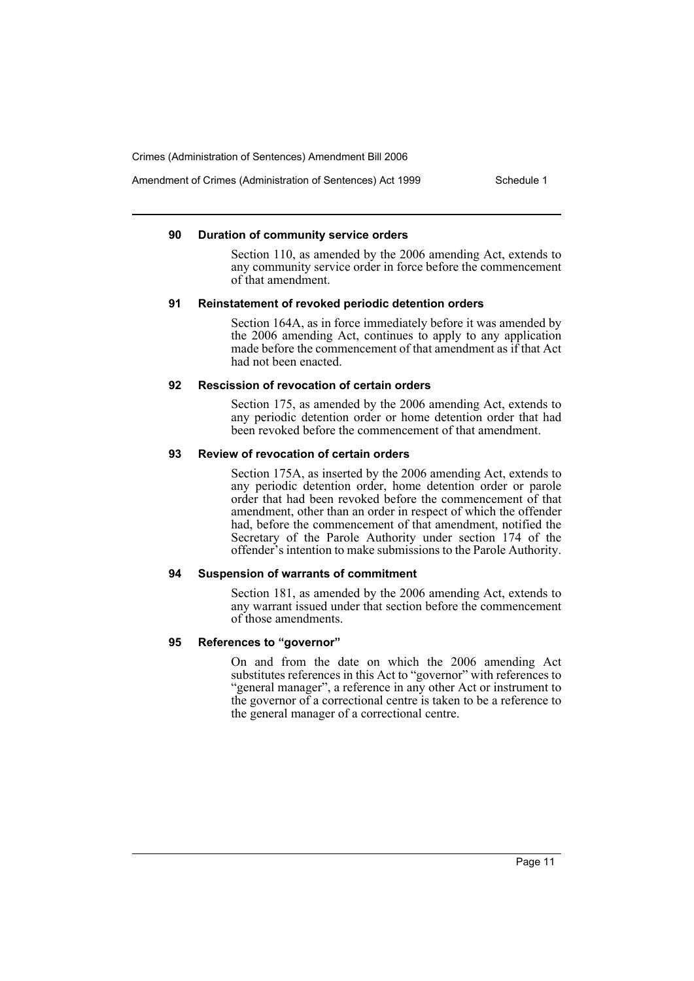Amendment of Crimes (Administration of Sentences) Act 1999 Schedule 1

#### **90 Duration of community service orders**

Section 110, as amended by the 2006 amending Act, extends to any community service order in force before the commencement of that amendment.

## **91 Reinstatement of revoked periodic detention orders**

Section 164A, as in force immediately before it was amended by the 2006 amending Act, continues to apply to any application made before the commencement of that amendment as if that Act had not been enacted.

#### **92 Rescission of revocation of certain orders**

Section 175, as amended by the 2006 amending Act, extends to any periodic detention order or home detention order that had been revoked before the commencement of that amendment.

#### **93 Review of revocation of certain orders**

Section 175A, as inserted by the 2006 amending Act, extends to any periodic detention order, home detention order or parole order that had been revoked before the commencement of that amendment, other than an order in respect of which the offender had, before the commencement of that amendment, notified the Secretary of the Parole Authority under section 174 of the offender's intention to make submissions to the Parole Authority.

#### **94 Suspension of warrants of commitment**

Section 181, as amended by the 2006 amending Act, extends to any warrant issued under that section before the commencement of those amendments.

#### **95 References to "governor"**

On and from the date on which the 2006 amending Act substitutes references in this Act to "governor" with references to "general manager", a reference in any other Act or instrument to the governor of a correctional centre is taken to be a reference to the general manager of a correctional centre.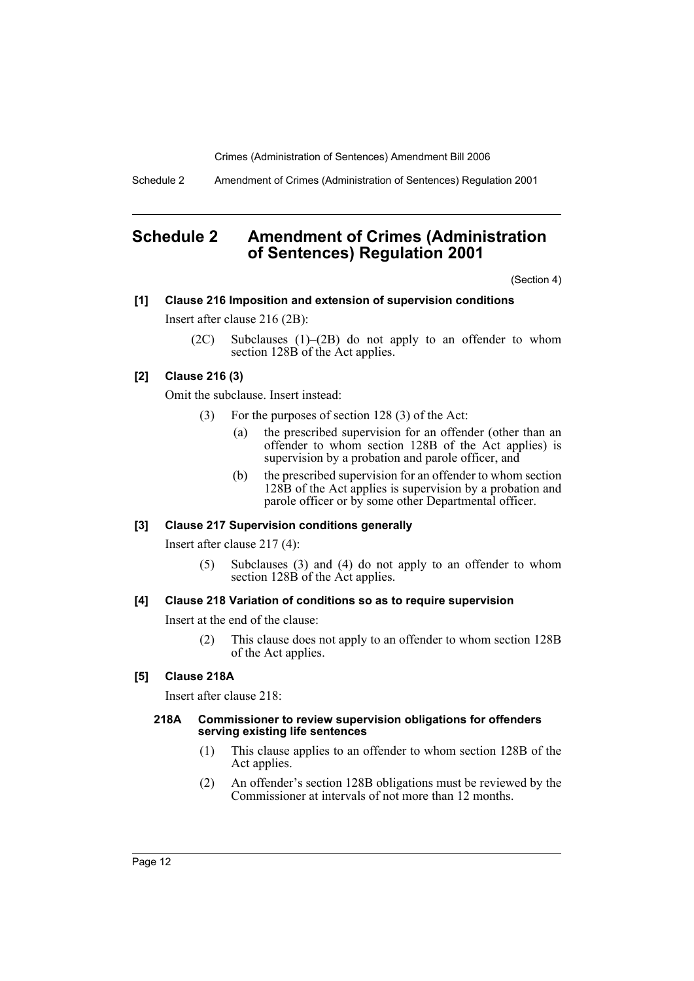Schedule 2 Amendment of Crimes (Administration of Sentences) Regulation 2001

# **Schedule 2 Amendment of Crimes (Administration of Sentences) Regulation 2001**

(Section 4)

# **[1] Clause 216 Imposition and extension of supervision conditions**

Insert after clause 216 (2B):

(2C) Subclauses (1)–(2B) do not apply to an offender to whom section 128B of the Act applies.

# **[2] Clause 216 (3)**

Omit the subclause. Insert instead:

- (3) For the purposes of section 128 (3) of the Act:
	- (a) the prescribed supervision for an offender (other than an offender to whom section 128B of the Act applies) is supervision by a probation and parole officer, and
	- (b) the prescribed supervision for an offender to whom section 128B of the Act applies is supervision by a probation and parole officer or by some other Departmental officer.

# **[3] Clause 217 Supervision conditions generally**

Insert after clause 217 (4):

(5) Subclauses (3) and (4) do not apply to an offender to whom section 128B of the Act applies.

# **[4] Clause 218 Variation of conditions so as to require supervision**

Insert at the end of the clause:

(2) This clause does not apply to an offender to whom section 128B of the Act applies.

# **[5] Clause 218A**

Insert after clause 218:

#### **218A Commissioner to review supervision obligations for offenders serving existing life sentences**

- (1) This clause applies to an offender to whom section 128B of the Act applies.
- (2) An offender's section 128B obligations must be reviewed by the Commissioner at intervals of not more than 12 months.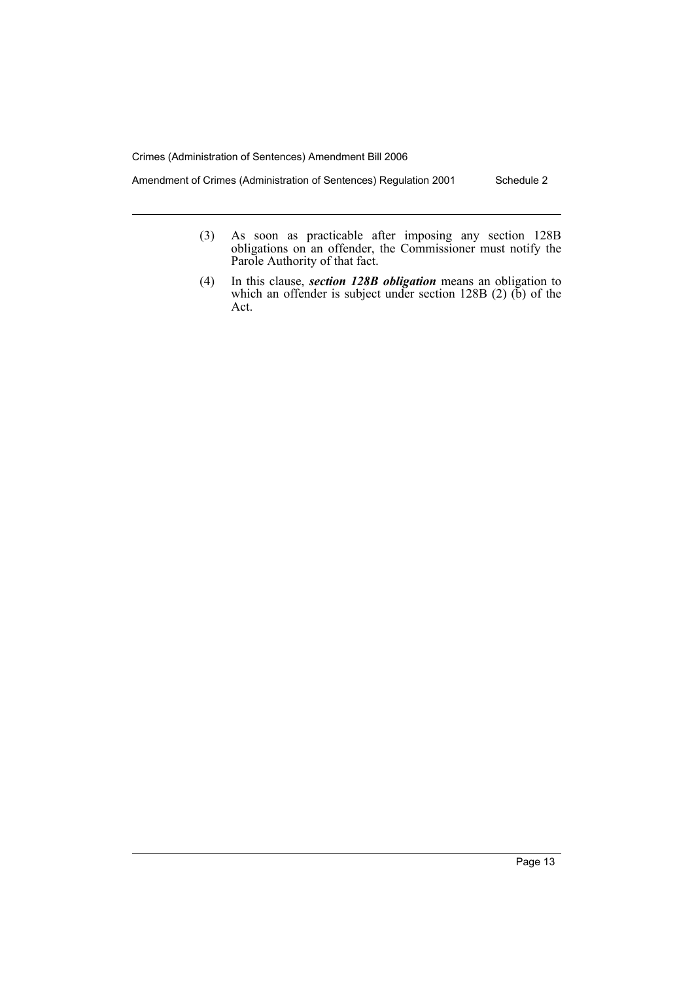Amendment of Crimes (Administration of Sentences) Regulation 2001 Schedule 2

- (3) As soon as practicable after imposing any section 128B obligations on an offender, the Commissioner must notify the Parole Authority of that fact.
- (4) In this clause, *section 128B obligation* means an obligation to which an offender is subject under section  $128B(2)$  (b) of the Act.